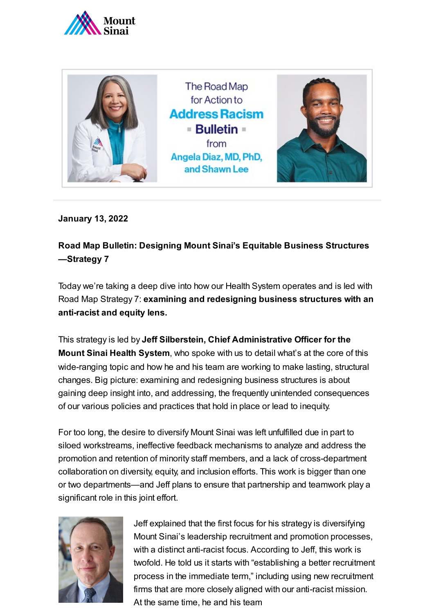



**January 13, 2022**

## **Road Map Bulletin: Designing Mount Sinai's Equitable Business Structures —Strategy 7**

Today we're taking a deep dive into how our Health System operates and is led with Road Map Strategy 7: **examining and redesigning business structures with an anti-racist and equity lens.**

This strategy is led by **Jeff Silberstein, Chief Administrative Officer for the Mount Sinai Health System**, who spoke with us to detail what's at the core of this wide-ranging topic and how he and his team are working to make lasting, structural changes. Big picture: examining and redesigning business structures is about gaining deep insight into, and addressing, the frequently unintended consequences of our various policies and practices that hold in place or lead to inequity.

For too long, the desire to diversify Mount Sinai was left unfulfilled due in part to siloed workstreams, ineffective feedback mechanisms to analyze and address the promotion and retention of minority staff members, and a lack of cross-department collaboration on diversity, equity, and inclusion efforts. This work is bigger than one or two departments—and Jeff plans to ensure that partnership and teamwork play a significant role in this joint effort.



Jeff explained that the first focus for his strategy is diversifying Mount Sinai's leadership recruitment and promotion processes, with a distinct anti-racist focus. According to Jeff, this work is twofold. He told us it starts with "establishing a better recruitment process in the immediate term," including using new recruitment firms that are more closely aligned with our anti-racist mission. At the same time, he and his team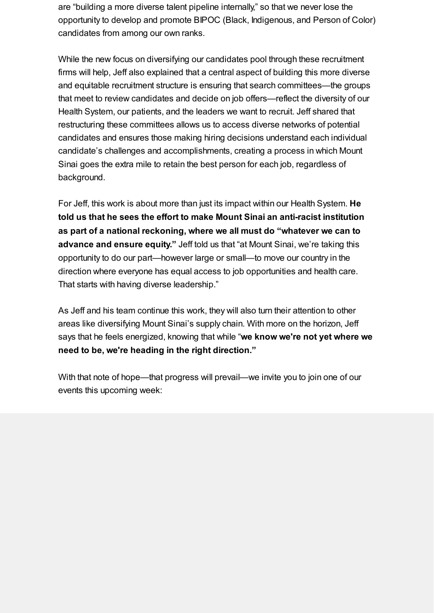are "building a more diverse talent pipeline internally," so that we never lose the opportunity to develop and promote BIPOC (Black, Indigenous, and Person of Color) candidates from among our own ranks.

While the new focus on diversifying our candidates pool through these recruitment firms will help, Jeff also explained that a central aspect of building this more diverse and equitable recruitment structure is ensuring that search committees—the groups that meet to review candidates and decide on job offers—reflect the diversity of our Health System, our patients, and the leaders we want to recruit. Jeff shared that restructuring these committees allows us to access diverse networks of potential candidates and ensures those making hiring decisions understand each individual candidate's challenges and accomplishments, creating a process in which Mount Sinai goes the extra mile to retain the best person for each job, regardless of background.

For Jeff, this work is about more than just its impact within our Health System. **He told us that he sees the effort to make Mount Sinai an anti-racist institution as part of a national reckoning, where we all must do "whatever we can to advance and ensure equity."** Jeff told us that "at Mount Sinai, we're taking this opportunity to do our part—however large or small—to move our country in the direction where everyone has equal access to job opportunities and health care. That starts with having diverse leadership."

As Jeff and his team continue this work, they will also turn their attention to other areas like diversifying Mount Sinai's supply chain. With more on the horizon, Jeff says that he feels energized, knowing that while "**we know we're not yet where we need to be, we're heading in the right direction."**

With that note of hope—that progress will prevail—we invite you to join one of our events this upcoming week: